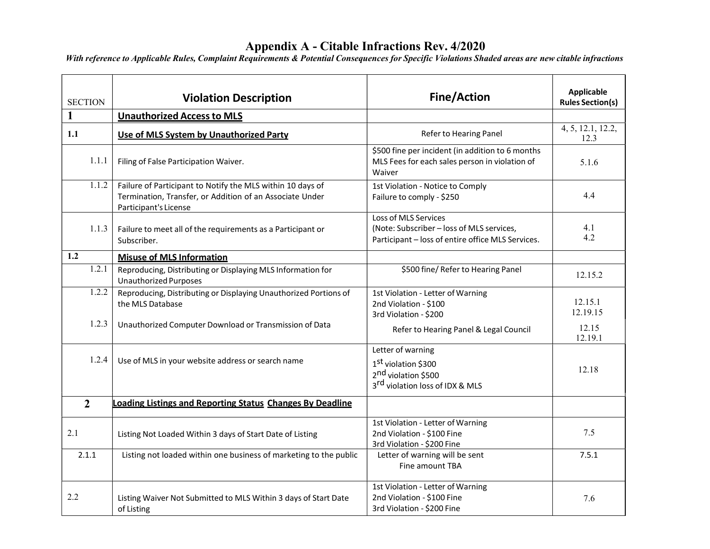#### Appendix A - Citable Infractions Rev. 4/2020

| <b>SECTION</b> | <b>Violation Description</b>                                                                                                                    | <b>Fine/Action</b>                                                                                                                     | <b>Applicable</b><br><b>Rules Section(s)</b> |
|----------------|-------------------------------------------------------------------------------------------------------------------------------------------------|----------------------------------------------------------------------------------------------------------------------------------------|----------------------------------------------|
| 1              | <b>Unauthorized Access to MLS</b>                                                                                                               |                                                                                                                                        |                                              |
| 1.1            | Use of MLS System by Unauthorized Party                                                                                                         | Refer to Hearing Panel                                                                                                                 | 4, 5, 12.1, 12.2,<br>12.3                    |
| 1.1.1          | Filing of False Participation Waiver.                                                                                                           | \$500 fine per incident (in addition to 6 months<br>MLS Fees for each sales person in violation of<br>Waiver                           | 5.1.6                                        |
| 1.1.2          | Failure of Participant to Notify the MLS within 10 days of<br>Termination, Transfer, or Addition of an Associate Under<br>Participant's License | 1st Violation - Notice to Comply<br>Failure to comply - \$250                                                                          | 4.4                                          |
| 1.1.3          | Failure to meet all of the requirements as a Participant or<br>Subscriber.                                                                      | Loss of MLS Services<br>(Note: Subscriber - loss of MLS services,<br>Participant - loss of entire office MLS Services.                 | 4.1<br>4.2                                   |
| 1.2            | <b>Misuse of MLS Information</b>                                                                                                                |                                                                                                                                        |                                              |
| 1.2.1          | Reproducing, Distributing or Displaying MLS Information for<br><b>Unauthorized Purposes</b>                                                     | \$500 fine/ Refer to Hearing Panel                                                                                                     | 12.15.2                                      |
| 1.2.2<br>1.2.3 | Reproducing, Distributing or Displaying Unauthorized Portions of<br>the MLS Database<br>Unauthorized Computer Download or Transmission of Data  | 1st Violation - Letter of Warning<br>2nd Violation - \$100<br>3rd Violation - \$200                                                    | 12.15.1<br>12.19.15                          |
|                |                                                                                                                                                 | Refer to Hearing Panel & Legal Council                                                                                                 | 12.15<br>12.19.1                             |
| 1.2.4          | Use of MLS in your website address or search name                                                                                               | Letter of warning<br>1 <sup>st</sup> violation \$300<br>2 <sup>nd</sup> violation \$500<br>3 <sup>rd</sup> violation loss of IDX & MLS | 12.18                                        |
| $\overline{2}$ | <b>Loading Listings and Reporting Status Changes By Deadline</b>                                                                                |                                                                                                                                        |                                              |
| 2.1            | Listing Not Loaded Within 3 days of Start Date of Listing                                                                                       | 1st Violation - Letter of Warning<br>2nd Violation - \$100 Fine<br>3rd Violation - \$200 Fine                                          | 7.5                                          |
| 2.1.1          | Listing not loaded within one business of marketing to the public                                                                               | Letter of warning will be sent<br>Fine amount TBA                                                                                      | 7.5.1                                        |
| 2.2            | Listing Waiver Not Submitted to MLS Within 3 days of Start Date<br>of Listing                                                                   | 1st Violation - Letter of Warning<br>2nd Violation - \$100 Fine<br>3rd Violation - \$200 Fine                                          | 7.6                                          |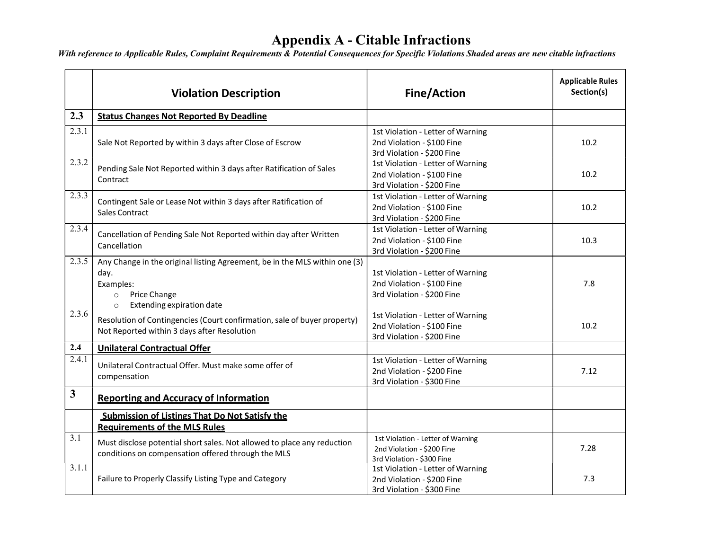|              | <b>Violation Description</b>                                                                                                                                       | <b>Fine/Action</b>                                                                            | <b>Applicable Rules</b><br>Section(s) |
|--------------|--------------------------------------------------------------------------------------------------------------------------------------------------------------------|-----------------------------------------------------------------------------------------------|---------------------------------------|
| 2.3          | <b>Status Changes Not Reported By Deadline</b>                                                                                                                     |                                                                                               |                                       |
| 2.3.1        | Sale Not Reported by within 3 days after Close of Escrow                                                                                                           | 1st Violation - Letter of Warning<br>2nd Violation - \$100 Fine<br>3rd Violation - \$200 Fine | 10.2                                  |
| 2.3.2        | Pending Sale Not Reported within 3 days after Ratification of Sales<br>Contract                                                                                    | 1st Violation - Letter of Warning<br>2nd Violation - \$100 Fine<br>3rd Violation - \$200 Fine | 10.2                                  |
| 2.3.3        | Contingent Sale or Lease Not within 3 days after Ratification of<br>Sales Contract                                                                                 | 1st Violation - Letter of Warning<br>2nd Violation - \$100 Fine<br>3rd Violation - \$200 Fine | 10.2                                  |
| 2.3.4        | Cancellation of Pending Sale Not Reported within day after Written<br>Cancellation                                                                                 | 1st Violation - Letter of Warning<br>2nd Violation - \$100 Fine<br>3rd Violation - \$200 Fine | 10.3                                  |
| 2.3.5        | Any Change in the original listing Agreement, be in the MLS within one (3)<br>day.<br>Examples:<br>Price Change<br>$\circ$<br>Extending expiration date<br>$\circ$ | 1st Violation - Letter of Warning<br>2nd Violation - \$100 Fine<br>3rd Violation - \$200 Fine | 7.8                                   |
| 2.3.6        | Resolution of Contingencies (Court confirmation, sale of buyer property)<br>Not Reported within 3 days after Resolution                                            | 1st Violation - Letter of Warning<br>2nd Violation - \$100 Fine<br>3rd Violation - \$200 Fine | 10.2                                  |
| 2.4          | <b>Unilateral Contractual Offer</b>                                                                                                                                |                                                                                               |                                       |
| 2.4.1        | Unilateral Contractual Offer. Must make some offer of<br>compensation                                                                                              | 1st Violation - Letter of Warning<br>2nd Violation - \$200 Fine<br>3rd Violation - \$300 Fine | 7.12                                  |
| $\mathbf{3}$ | <b>Reporting and Accuracy of Information</b>                                                                                                                       |                                                                                               |                                       |
|              | <b>Submission of Listings That Do Not Satisfy the</b><br><b>Requirements of the MLS Rules</b>                                                                      |                                                                                               |                                       |
| 3.1<br>3.1.1 | Must disclose potential short sales. Not allowed to place any reduction<br>conditions on compensation offered through the MLS                                      | 1st Violation - Letter of Warning<br>2nd Violation - \$200 Fine<br>3rd Violation - \$300 Fine | 7.28                                  |
|              | Failure to Properly Classify Listing Type and Category                                                                                                             | 1st Violation - Letter of Warning<br>2nd Violation - \$200 Fine<br>3rd Violation - \$300 Fine | 7.3                                   |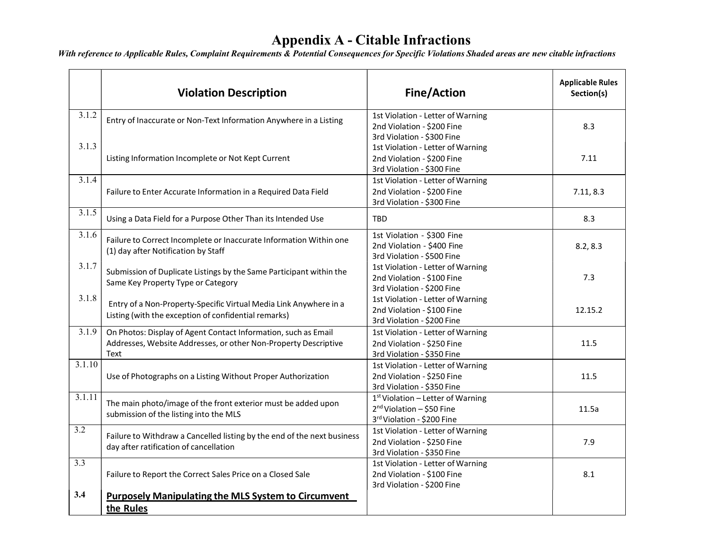|                  | <b>Violation Description</b>                                                                                                              | <b>Fine/Action</b>                                                                             | <b>Applicable Rules</b><br>Section(s) |
|------------------|-------------------------------------------------------------------------------------------------------------------------------------------|------------------------------------------------------------------------------------------------|---------------------------------------|
| 3.1.2<br>3.1.3   | Entry of Inaccurate or Non-Text Information Anywhere in a Listing                                                                         | 1st Violation - Letter of Warning<br>2nd Violation - \$200 Fine<br>3rd Violation - \$300 Fine  | 8.3                                   |
|                  | Listing Information Incomplete or Not Kept Current                                                                                        | 1st Violation - Letter of Warning<br>2nd Violation - \$200 Fine<br>3rd Violation - \$300 Fine  | 7.11                                  |
| 3.1.4            | Failure to Enter Accurate Information in a Required Data Field                                                                            | 1st Violation - Letter of Warning<br>2nd Violation - \$200 Fine<br>3rd Violation - \$300 Fine  | 7.11, 8.3                             |
| 3.1.5            | Using a Data Field for a Purpose Other Than its Intended Use                                                                              | <b>TBD</b>                                                                                     | 8.3                                   |
| 3.1.6            | Failure to Correct Incomplete or Inaccurate Information Within one<br>(1) day after Notification by Staff                                 | 1st Violation - \$300 Fine<br>2nd Violation - \$400 Fine<br>3rd Violation - \$500 Fine         | 8.2, 8.3                              |
| 3.1.7            | Submission of Duplicate Listings by the Same Participant within the<br>Same Key Property Type or Category                                 | 1st Violation - Letter of Warning<br>2nd Violation - \$100 Fine<br>3rd Violation - \$200 Fine  | 7.3                                   |
| 3.1.8            | Entry of a Non-Property-Specific Virtual Media Link Anywhere in a<br>Listing (with the exception of confidential remarks)                 | 1st Violation - Letter of Warning<br>2nd Violation - \$100 Fine<br>3rd Violation - \$200 Fine  | 12.15.2                               |
| 3.1.9            | On Photos: Display of Agent Contact Information, such as Email<br>Addresses, Website Addresses, or other Non-Property Descriptive<br>Text | 1st Violation - Letter of Warning<br>2nd Violation - \$250 Fine<br>3rd Violation - \$350 Fine  | 11.5                                  |
| 3.1.10           | Use of Photographs on a Listing Without Proper Authorization                                                                              | 1st Violation - Letter of Warning<br>2nd Violation - \$250 Fine<br>3rd Violation - \$350 Fine  | 11.5                                  |
| 3.1.11           | The main photo/image of the front exterior must be added upon<br>submission of the listing into the MLS                                   | 1st Violation - Letter of Warning<br>$2nd$ Violation - \$50 Fine<br>3rd Violation - \$200 Fine | 11.5a                                 |
| $\overline{3.2}$ | Failure to Withdraw a Cancelled listing by the end of the next business<br>day after ratification of cancellation                         | 1st Violation - Letter of Warning<br>2nd Violation - \$250 Fine<br>3rd Violation - \$350 Fine  | 7.9                                   |
| 3.3              | Failure to Report the Correct Sales Price on a Closed Sale                                                                                | 1st Violation - Letter of Warning<br>2nd Violation - \$100 Fine<br>3rd Violation - \$200 Fine  | 8.1                                   |
| 3.4              | <b>Purposely Manipulating the MLS System to Circumvent</b><br>the Rules                                                                   |                                                                                                |                                       |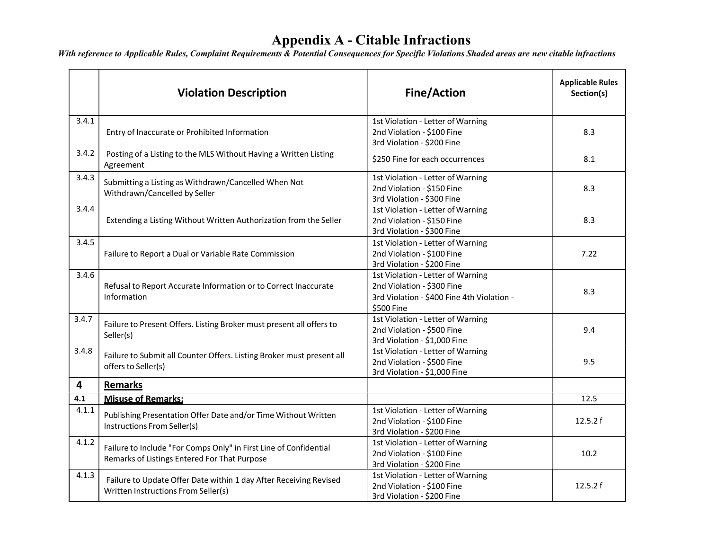|       | <b>Violation Description</b>                                                                                      | <b>Fine/Action</b>                                                                                                          | <b>Applicable Rules</b><br>Section(s) |
|-------|-------------------------------------------------------------------------------------------------------------------|-----------------------------------------------------------------------------------------------------------------------------|---------------------------------------|
| 3.4.1 | Entry of Inaccurate or Prohibited Information                                                                     | 1st Violation - Letter of Warning<br>2nd Violation - \$100 Fine<br>3rd Violation - \$200 Fine                               | 8.3                                   |
| 3.4.2 | Posting of a Listing to the MLS Without Having a Written Listing<br>Agreement                                     | \$250 Fine for each occurrences                                                                                             | 8.1                                   |
| 3.4.3 | Submitting a Listing as Withdrawn/Cancelled When Not<br>Withdrawn/Cancelled by Seller                             | 1st Violation - Letter of Warning<br>2nd Violation - \$150 Fine<br>3rd Violation - \$300 Fine                               | 8.3                                   |
| 3.4.4 | Extending a Listing Without Written Authorization from the Seller                                                 | 1st Violation - Letter of Warning<br>2nd Violation - \$150 Fine<br>3rd Violation - \$300 Fine                               | 8.3                                   |
| 3.4.5 | Failure to Report a Dual or Variable Rate Commission                                                              | 1st Violation - Letter of Warning<br>2nd Violation - \$100 Fine<br>3rd Violation - \$200 Fine                               | 7.22                                  |
| 3.4.6 | Refusal to Report Accurate Information or to Correct Inaccurate<br>Information                                    | 1st Violation - Letter of Warning<br>2nd Violation - \$300 Fine<br>3rd Violation - \$400 Fine 4th Violation -<br>\$500 Fine | 8.3                                   |
| 3.4.7 | Failure to Present Offers. Listing Broker must present all offers to<br>Seller(s)                                 | 1st Violation - Letter of Warning<br>2nd Violation - \$500 Fine<br>3rd Violation - \$1,000 Fine                             | 9.4                                   |
| 3.4.8 | Failure to Submit all Counter Offers. Listing Broker must present all<br>offers to Seller(s)                      | 1st Violation - Letter of Warning<br>2nd Violation - \$500 Fine<br>3rd Violation - \$1,000 Fine                             | 9.5                                   |
| 4     | <b>Remarks</b>                                                                                                    |                                                                                                                             |                                       |
| 4.1   | <b>Misuse of Remarks:</b>                                                                                         |                                                                                                                             | 12.5                                  |
| 4.1.1 | Publishing Presentation Offer Date and/or Time Without Written<br>Instructions From Seller(s)                     | 1st Violation - Letter of Warning<br>2nd Violation - \$100 Fine<br>3rd Violation - \$200 Fine                               | 12.5.2 f                              |
| 4.1.2 | Failure to Include "For Comps Only" in First Line of Confidential<br>Remarks of Listings Entered For That Purpose | 1st Violation - Letter of Warning<br>2nd Violation - \$100 Fine<br>3rd Violation - \$200 Fine                               | 10.2                                  |
| 4.1.3 | Failure to Update Offer Date within 1 day After Receiving Revised<br>Written Instructions From Seller(s)          | 1st Violation - Letter of Warning<br>2nd Violation - \$100 Fine<br>3rd Violation - \$200 Fine                               | 12.5.2 f                              |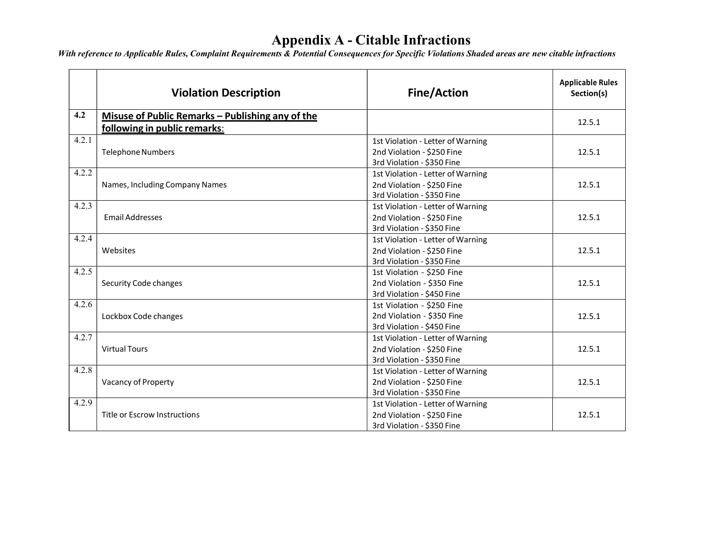|       | <b>Violation Description</b>                     | <b>Fine/Action</b>                | <b>Applicable Rules</b><br>Section(s) |
|-------|--------------------------------------------------|-----------------------------------|---------------------------------------|
| 4.2   | Misuse of Public Remarks - Publishing any of the |                                   |                                       |
|       | following in public remarks:                     |                                   | 12.5.1                                |
| 4.2.1 |                                                  | 1st Violation - Letter of Warning |                                       |
|       | <b>Telephone Numbers</b>                         | 2nd Violation - \$250 Fine        | 12.5.1                                |
|       |                                                  | 3rd Violation - \$350 Fine        |                                       |
| 4.2.2 |                                                  | 1st Violation - Letter of Warning |                                       |
|       | Names, Including Company Names                   | 2nd Violation - \$250 Fine        | 12.5.1                                |
|       |                                                  | 3rd Violation - \$350 Fine        |                                       |
| 4.2.3 |                                                  | 1st Violation - Letter of Warning |                                       |
|       | <b>Email Addresses</b>                           | 2nd Violation - \$250 Fine        | 12.5.1                                |
|       |                                                  | 3rd Violation - \$350 Fine        |                                       |
| 4.2.4 |                                                  | 1st Violation - Letter of Warning |                                       |
|       | Websites                                         | 2nd Violation - \$250 Fine        | 12.5.1                                |
|       |                                                  | 3rd Violation - \$350 Fine        |                                       |
| 4.2.5 |                                                  | 1st Violation - \$250 Fine        |                                       |
|       | Security Code changes                            | 2nd Violation - \$350 Fine        | 12.5.1                                |
|       |                                                  | 3rd Violation - \$450 Fine        |                                       |
| 4.2.6 |                                                  | 1st Violation - \$250 Fine        |                                       |
|       | Lockbox Code changes                             | 2nd Violation - \$350 Fine        | 12.5.1                                |
|       |                                                  | 3rd Violation - \$450 Fine        |                                       |
| 4.2.7 |                                                  | 1st Violation - Letter of Warning |                                       |
|       | <b>Virtual Tours</b>                             | 2nd Violation - \$250 Fine        | 12.5.1                                |
|       |                                                  | 3rd Violation - \$350 Fine        |                                       |
| 4.2.8 |                                                  | 1st Violation - Letter of Warning |                                       |
|       | Vacancy of Property                              | 2nd Violation - \$250 Fine        | 12.5.1                                |
|       |                                                  | 3rd Violation - \$350 Fine        |                                       |
| 4.2.9 |                                                  | 1st Violation - Letter of Warning |                                       |
|       | Title or Escrow Instructions                     | 2nd Violation - \$250 Fine        | 12.5.1                                |
|       |                                                  | 3rd Violation - \$350 Fine        |                                       |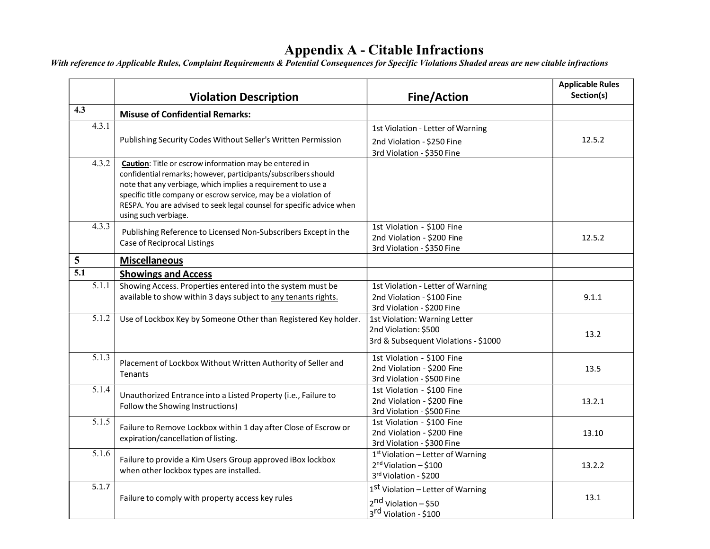|                                     | <b>Violation Description</b>                                                                                                   | <b>Fine/Action</b>                                       | <b>Applicable Rules</b><br>Section(s) |
|-------------------------------------|--------------------------------------------------------------------------------------------------------------------------------|----------------------------------------------------------|---------------------------------------|
| 4.3                                 | <b>Misuse of Confidential Remarks:</b>                                                                                         |                                                          |                                       |
| 4.3.1                               |                                                                                                                                | 1st Violation - Letter of Warning                        |                                       |
|                                     | Publishing Security Codes Without Seller's Written Permission                                                                  | 2nd Violation - \$250 Fine                               | 12.5.2                                |
|                                     |                                                                                                                                | 3rd Violation - \$350 Fine                               |                                       |
| 4.3.2                               | <b>Caution:</b> Title or escrow information may be entered in                                                                  |                                                          |                                       |
|                                     | confidential remarks; however, participants/subscribers should<br>note that any verbiage, which implies a requirement to use a |                                                          |                                       |
|                                     | specific title company or escrow service, may be a violation of                                                                |                                                          |                                       |
|                                     | RESPA. You are advised to seek legal counsel for specific advice when                                                          |                                                          |                                       |
|                                     | using such verbiage.                                                                                                           |                                                          |                                       |
| 4.3.3                               | Publishing Reference to Licensed Non-Subscribers Except in the                                                                 | 1st Violation - \$100 Fine                               |                                       |
|                                     | Case of Reciprocal Listings                                                                                                    | 2nd Violation - \$200 Fine                               | 12.5.2                                |
|                                     |                                                                                                                                | 3rd Violation - \$350 Fine                               |                                       |
| 5                                   | <b>Miscellaneous</b>                                                                                                           |                                                          |                                       |
| $\overline{5.1}$                    | <b>Showings and Access</b>                                                                                                     |                                                          |                                       |
| 5.1.1                               | Showing Access. Properties entered into the system must be                                                                     | 1st Violation - Letter of Warning                        |                                       |
|                                     | available to show within 3 days subject to any tenants rights.                                                                 | 2nd Violation - \$100 Fine                               | 9.1.1                                 |
|                                     |                                                                                                                                | 3rd Violation - \$200 Fine                               |                                       |
| 5.1.2                               | Use of Lockbox Key by Someone Other than Registered Key holder.                                                                | 1st Violation: Warning Letter                            |                                       |
|                                     |                                                                                                                                | 2nd Violation: \$500                                     | 13.2                                  |
|                                     |                                                                                                                                | 3rd & Subsequent Violations - \$1000                     |                                       |
| 5.1.3                               | Placement of Lockbox Without Written Authority of Seller and                                                                   | 1st Violation - \$100 Fine                               |                                       |
|                                     | Tenants                                                                                                                        | 2nd Violation - \$200 Fine                               | 13.5                                  |
|                                     |                                                                                                                                | 3rd Violation - \$500 Fine                               |                                       |
| 5.1.4                               | Unauthorized Entrance into a Listed Property (i.e., Failure to                                                                 | 1st Violation - \$100 Fine                               |                                       |
|                                     | Follow the Showing Instructions)                                                                                               | 2nd Violation - \$200 Fine<br>3rd Violation - \$500 Fine | 13.2.1                                |
| 5.1.5                               |                                                                                                                                | 1st Violation - \$100 Fine                               |                                       |
|                                     | Failure to Remove Lockbox within 1 day after Close of Escrow or                                                                | 2nd Violation - \$200 Fine                               | 13.10                                 |
| expiration/cancellation of listing. |                                                                                                                                | 3rd Violation - \$300 Fine                               |                                       |
| 5.1.6                               |                                                                                                                                | 1 <sup>st</sup> Violation - Letter of Warning            |                                       |
|                                     | Failure to provide a Kim Users Group approved iBox lockbox<br>when other lockbox types are installed.                          | $2nd$ Violation - \$100                                  | 13.2.2                                |
|                                     |                                                                                                                                | 3rd Violation - \$200                                    |                                       |
| 5.1.7                               |                                                                                                                                | 1 <sup>st</sup> Violation – Letter of Warning            |                                       |
|                                     | Failure to comply with property access key rules                                                                               | 2 <sup>nd</sup> Violation - \$50                         | 13.1                                  |
|                                     |                                                                                                                                | 3rd Violation - \$100                                    |                                       |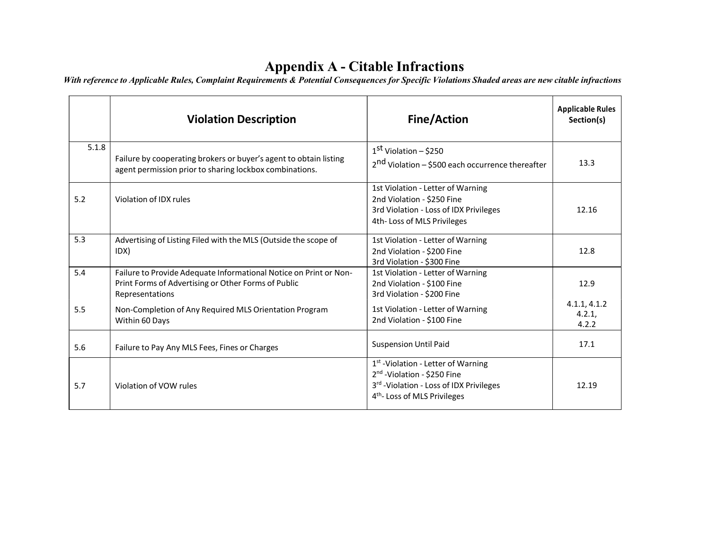|       | <b>Violation Description</b>                                                                                                                | <b>Fine/Action</b>                                                                                                                                                               | <b>Applicable Rules</b><br>Section(s) |
|-------|---------------------------------------------------------------------------------------------------------------------------------------------|----------------------------------------------------------------------------------------------------------------------------------------------------------------------------------|---------------------------------------|
| 5.1.8 | Failure by cooperating brokers or buyer's agent to obtain listing<br>agent permission prior to sharing lockbox combinations.                | 1 <sup>st</sup> Violation – \$250<br>2 <sup>nd</sup> Violation - \$500 each occurrence thereafter                                                                                | 13.3                                  |
| 5.2   | Violation of IDX rules                                                                                                                      | 1st Violation - Letter of Warning<br>2nd Violation - \$250 Fine<br>3rd Violation - Loss of IDX Privileges<br>4th-Loss of MLS Privileges                                          | 12.16                                 |
| 5.3   | Advertising of Listing Filed with the MLS (Outside the scope of<br>IDX)                                                                     | 1st Violation - Letter of Warning<br>2nd Violation - \$200 Fine<br>3rd Violation - \$300 Fine                                                                                    | 12.8                                  |
| 5.4   | Failure to Provide Adequate Informational Notice on Print or Non-<br>Print Forms of Advertising or Other Forms of Public<br>Representations | 1st Violation - Letter of Warning<br>2nd Violation - \$100 Fine<br>3rd Violation - \$200 Fine                                                                                    | 12.9                                  |
| 5.5   | Non-Completion of Any Required MLS Orientation Program<br>Within 60 Days                                                                    | 1st Violation - Letter of Warning<br>2nd Violation - \$100 Fine                                                                                                                  | 4.1.1, 4.1.2<br>4.2.1,<br>4.2.2       |
| 5.6   | Failure to Pay Any MLS Fees, Fines or Charges                                                                                               | <b>Suspension Until Paid</b>                                                                                                                                                     | 17.1                                  |
| 5.7   | Violation of VOW rules                                                                                                                      | 1 <sup>st</sup> -Violation - Letter of Warning<br>2 <sup>nd</sup> -Violation - \$250 Fine<br>3rd - Violation - Loss of IDX Privileges<br>4 <sup>th</sup> -Loss of MLS Privileges | 12.19                                 |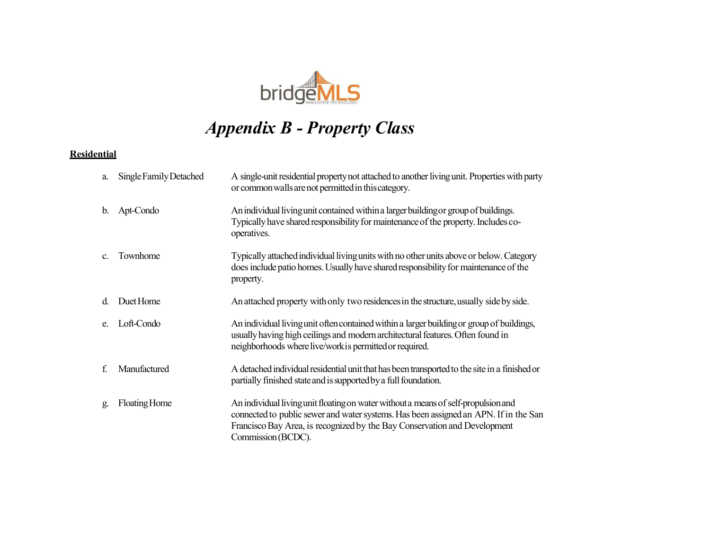

# Appendix B - Property Class

#### **Residential**

| a.             | Single Family Detached | A single-unit residential property not attached to another living unit. Properties with party<br>or common walls are not permitted in this category.                                                                                                                          |
|----------------|------------------------|-------------------------------------------------------------------------------------------------------------------------------------------------------------------------------------------------------------------------------------------------------------------------------|
| b.             | Apt-Condo              | An individual living unit contained within a larger building or group of buildings.<br>Typically have shared responsibility for maintenance of the property. Includes co-<br>operatives.                                                                                      |
| C <sub>r</sub> | Townhome               | Typically attached individual living units with no other units above or below. Category<br>does include patio homes. Usually have shared responsibility for maintenance of the<br>property.                                                                                   |
| d.             | Duet Home              | An attached property with only two residences in the structure, usually side by side.                                                                                                                                                                                         |
| e.             | Loft-Condo             | An individual living unit often contained within a larger building or group of buildings,<br>usually having high ceilings and modern architectural features. Often found in<br>neighborhoods where live/work is permitted or required.                                        |
| f.             | Manufactured           | A detached individual residential unit that has been transported to the site in a finished or<br>partially finished state and is supported by a full foundation.                                                                                                              |
| g.             | Floating Home          | An individual living unit floating on water without a means of self-propulsion and<br>connected to public sewer and water systems. Has been assigned an APN. If in the San<br>Francisco Bay Area, is recognized by the Bay Conservation and Development<br>Commission (BCDC). |